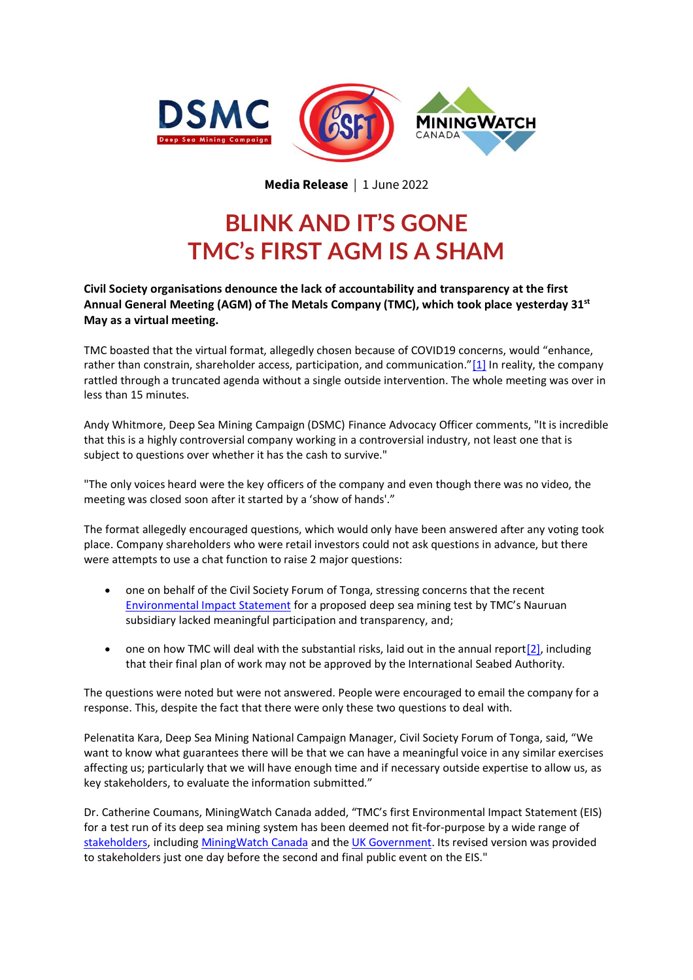



<span id="page-0-0"></span>**Media Release** | 1 June 2022

## **BLINK AND IT'S GONE TMC's FIRST AGM IS A SHAM**

**Civil Society organisations denounce the lack of accountability and transparency at the first Annual General Meeting (AGM) of The Metals Company (TMC), which took place yesterday 31st May as a virtual meeting.**

TMC boasted that the virtual format, allegedly chosen because of COVID19 concerns, would "enhance, rather than constrain, shareholder access, participation, and communication."[\[1\]](#page-1-0) In reality, the company rattled through a truncated agenda without a single outside intervention. The whole meeting was over in less than 15 minutes.

Andy Whitmore, Deep Sea Mining Campaign (DSMC) Finance Advocacy Officer comments, "It is incredible that this is a highly controversial company working in a controversial industry, not least one that is subject to questions over whether it has the cash to survive."

"The only voices heard were the key officers of the company and even though there was no video, the meeting was closed soon after it started by a 'show of hands'."

The format allegedly encouraged questions, which would only have been answered after any voting took place. Company shareholders who were retail investors could not ask questions in advance, but there were attempts to use a chat function to raise 2 major questions:

- one on behalf of the Civil Society Forum of Tonga, stressing concerns that the recent [Environmental Impact Statement](https://www.eisconsultationnauruun.org/) for a proposed deep sea mining test by TMC's Nauruan subsidiary lacked meaningful participation and transparency, and;
- one on how TMC will deal with the substantial risks, laid out in the annual report $[2]$ , including that their final plan of work may not be approved by the International Seabed Authority.

The questions were noted but were not answered. People were encouraged to email the company for a response. This, despite the fact that there were only these two questions to deal with.

Pelenatita Kara, Deep Sea Mining National Campaign Manager, Civil Society Forum of Tonga, said, "We want to know what guarantees there will be that we can have a meaningful voice in any similar exercises affecting us; particularly that we will have enough time and if necessary outside expertise to allow us, as key stakeholders, to evaluate the information submitted."

Dr. Catherine Coumans, MiningWatch Canada added, "TMC's first Environmental Impact Statement (EIS) for a test run of its deep sea mining system has been deemed not fit-for-purpose by a wide range of [stakeholders,](https://dsm-campaign.org/wp-content/uploads/2021/12/DSMC-NORI-EIS-Submission-and-Letter.pdf) includin[g MiningWatch Canada](https://www.stopdeepseamining.ca/2021/12/08/comments-on-nauru-ocean-resources-incorporateds-collector-test-environmental-impact-statement/) and the [UK Government.](https://static1.squarespace.com/static/611bf5e1fae42046801656c0/t/6220ff81b1b3701e8f8068ea/1646329743006/NORI+Collector+Test+EIS+Public+Comments_Final_Reduced+File+Size.pdf) Its revised version was provided to stakeholders just one day before the second and final public event on the EIS."